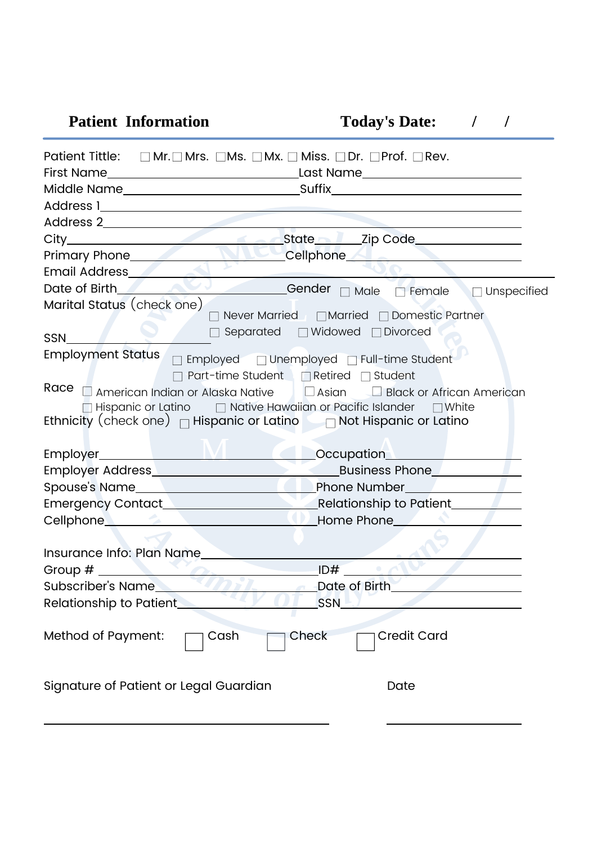| <b>Patient Information</b>                                                                                                                                                                                                                                                     | <b>Today's Date:</b>                           |
|--------------------------------------------------------------------------------------------------------------------------------------------------------------------------------------------------------------------------------------------------------------------------------|------------------------------------------------|
| Patient Tittle: □ Mr.□ Mrs. □ Ms. □ Mx. □ Miss. □ Dr. □ Prof. □ Rev.                                                                                                                                                                                                           |                                                |
|                                                                                                                                                                                                                                                                                |                                                |
|                                                                                                                                                                                                                                                                                |                                                |
|                                                                                                                                                                                                                                                                                |                                                |
|                                                                                                                                                                                                                                                                                |                                                |
|                                                                                                                                                                                                                                                                                |                                                |
| Primary Phone <b>Contract Contract Contract Contract Contract Contract Contract Contract Contract Contract Contract Contract Contract Contract Contract Contract Contract Contract Contract Contract Contract Contract Contract </b>                                           |                                                |
| Email Address <b>Contract Contract Contract Contract Contract Contract Contract Contract Contract Contract Contract Contract Contract Contract Contract Contract Contract Contract Contract Contract Contract Contract Contract </b><br>the control of the control of the con- |                                                |
| Date of Birth Contact Contact Contact Contact Contact Contact Contact Contact Contact Contact Contact Contact Contact Contact Contact Contact Contact Contact Contact Contact Contact Contact Contact Contact Contact Contact                                                  |                                                |
| Marital Status (check one)                                                                                                                                                                                                                                                     |                                                |
|                                                                                                                                                                                                                                                                                | Never Married   □ Married   □ Domestic Partner |
| SSN                                                                                                                                                                                                                                                                            | □ Separated □ Widowed □ Divorced               |
| <b>Employment Status</b>                                                                                                                                                                                                                                                       | □ Employed □ Unemployed □ Full-time Student    |
|                                                                                                                                                                                                                                                                                | Part-time Student <b>Retired</b> Student       |
| Race a American Indian or Alaska Native   a Asian   Black or African American                                                                                                                                                                                                  |                                                |
| $\Box$ Hispanic or Latino $\Box$ Native Hawaiian or Pacific Islander $\Box$ White                                                                                                                                                                                              |                                                |
| Ethnicity (check one) $\Box$ Hispanic or Latino $\Box$ Not Hispanic or Latino                                                                                                                                                                                                  |                                                |
|                                                                                                                                                                                                                                                                                |                                                |
| Employer NVI Cocupation                                                                                                                                                                                                                                                        |                                                |
|                                                                                                                                                                                                                                                                                |                                                |
|                                                                                                                                                                                                                                                                                |                                                |
|                                                                                                                                                                                                                                                                                |                                                |
| Cellphone <b>Cellphone Cellphone Cellphone Cellphone Cellphone Cellphone Cellphone Cellphone Cellphone Cellphone Cellphone Cellphone Cellphone Cellphone Cellphone Cellphone Cellphone Cellpho</b>                                                                             |                                                |
|                                                                                                                                                                                                                                                                                |                                                |
| Insurance Info: Plan Name                                                                                                                                                                                                                                                      |                                                |
| Group $#$                                                                                                                                                                                                                                                                      | ID#                                            |
| Subscriber's Name_                                                                                                                                                                                                                                                             | Date of Birth                                  |
| Relationship to Patient                                                                                                                                                                                                                                                        | SSN                                            |
| Method of Payment:<br>Cash                                                                                                                                                                                                                                                     | Check<br><b>Credit Card</b>                    |
| Signature of Patient or Legal Guardian                                                                                                                                                                                                                                         | Date                                           |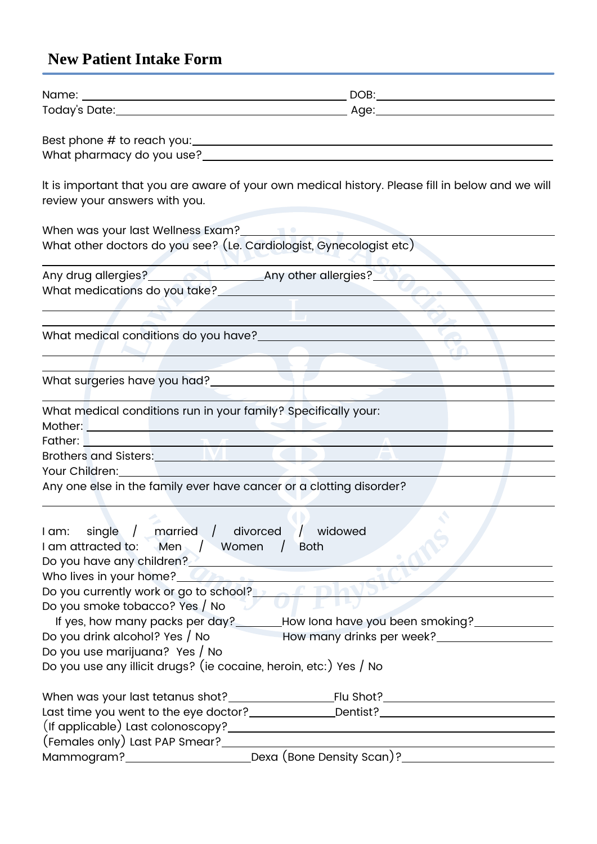# New Patient Intake Form

| review your answers with you.                                                                                                                                                                                                        | It is important that you are aware of your own medical history. Please fill in below and we will                                                                                                                              |
|--------------------------------------------------------------------------------------------------------------------------------------------------------------------------------------------------------------------------------------|-------------------------------------------------------------------------------------------------------------------------------------------------------------------------------------------------------------------------------|
| When was your last Wellness Exam? <b>The Contract of the Contract of the Contract of Terminal Contract of the Contract of Terminal Contract of Terminal Contract of Terminal Contract of Terminal Contract of Terminal Contract </b> |                                                                                                                                                                                                                               |
| What other doctors do you see? (Le. Cardiologist, Gynecologist etc)                                                                                                                                                                  |                                                                                                                                                                                                                               |
|                                                                                                                                                                                                                                      |                                                                                                                                                                                                                               |
|                                                                                                                                                                                                                                      |                                                                                                                                                                                                                               |
|                                                                                                                                                                                                                                      |                                                                                                                                                                                                                               |
|                                                                                                                                                                                                                                      |                                                                                                                                                                                                                               |
|                                                                                                                                                                                                                                      |                                                                                                                                                                                                                               |
|                                                                                                                                                                                                                                      |                                                                                                                                                                                                                               |
|                                                                                                                                                                                                                                      |                                                                                                                                                                                                                               |
|                                                                                                                                                                                                                                      | What surgeries have you had?<br>and the surgeries have you had?                                                                                                                                                               |
| What medical conditions run in your family? Specifically your:                                                                                                                                                                       |                                                                                                                                                                                                                               |
|                                                                                                                                                                                                                                      |                                                                                                                                                                                                                               |
|                                                                                                                                                                                                                                      | Father: New York and the Community of the Community of the Community of the Community of the Community of the Community of the Community of the Community of the Community of the Community of the Community of the Community |
|                                                                                                                                                                                                                                      |                                                                                                                                                                                                                               |
| Your Children: New Your Children:<br>Any one else in the family ever have cancer or a clotting disorder?                                                                                                                             |                                                                                                                                                                                                                               |
|                                                                                                                                                                                                                                      |                                                                                                                                                                                                                               |
| I am: single / married / divorced / widowed<br>I am attracted to: Men / Women /                                                                                                                                                      | <b>Both</b>                                                                                                                                                                                                                   |
| Who lives in your home? <b>Who are all assessment of the set of the set of the set of the set of the set of the set of the set of the set of the set of the set of the set of the set of the set of the set of the set of the se</b> |                                                                                                                                                                                                                               |
| Do you currently work or go to school? Decomption of Table                                                                                                                                                                           |                                                                                                                                                                                                                               |
| Do you smoke tobacco? Yes / No                                                                                                                                                                                                       |                                                                                                                                                                                                                               |
|                                                                                                                                                                                                                                      | If yes, how many packs per day?_______How lona have you been smoking?___________                                                                                                                                              |
| Do you drink alcohol? Yes / No                                                                                                                                                                                                       |                                                                                                                                                                                                                               |
| Do you use marijuana? Yes / No<br>Do you use any illicit drugs? (ie cocaine, heroin, etc:) Yes / No                                                                                                                                  |                                                                                                                                                                                                                               |
|                                                                                                                                                                                                                                      |                                                                                                                                                                                                                               |
|                                                                                                                                                                                                                                      |                                                                                                                                                                                                                               |
|                                                                                                                                                                                                                                      | Last time you went to the eye doctor? ______________Dentist? ____________________                                                                                                                                             |
|                                                                                                                                                                                                                                      |                                                                                                                                                                                                                               |
|                                                                                                                                                                                                                                      | <u> 1980 - Johann Barn, amerikansk politiker (</u>                                                                                                                                                                            |
|                                                                                                                                                                                                                                      | Mammogram?___________________________________Dexa (Bone Density Scan)?_____________________________                                                                                                                           |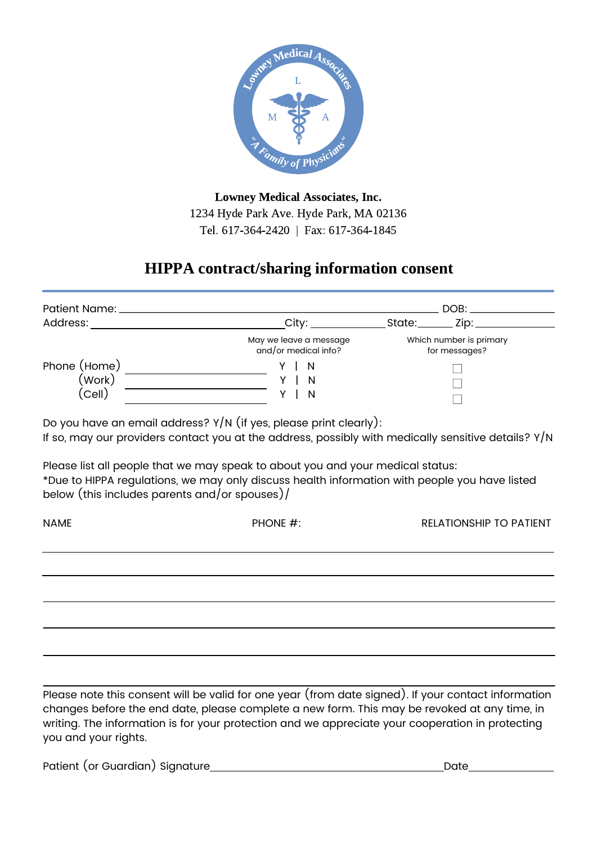

Lowney Medical Associates, Inc. 1234 Hyde Park Ave. Hyde Park, MA 02136 Tel. 617-364-2420 | Fax: 617-364-1845

## HIPPA contract/sharing information consent

| Patient Name: ______             |                                                | DOB:                                     |
|----------------------------------|------------------------------------------------|------------------------------------------|
| Address:                         | City:                                          | Zip:<br>State:                           |
|                                  | May we leave a message<br>and/or medical info? | Which number is primary<br>for messages? |
| Phone (Home)<br>(Work)<br>(Cell) | YIN<br>N<br>N                                  |                                          |

Do you have an email address?  $Y/N$  (if yes, please print clearly): If so, may our providers contact you at the address, possibly with medically sensitive details?  $Y/N$ 

Please list all people that we may speak to about you and your medical status: \*Due to HIPPA regulations, we may only discuss health information with people you have listed below (this includes parents and/or spouses)/

| <b>NAME</b> | PHONE #: | RELATIONSHIP TO PATIENT |
|-------------|----------|-------------------------|
|             |          |                         |
|             |          |                         |
|             |          |                         |
|             |          |                         |
|             |          |                         |
|             |          |                         |
|             |          |                         |

Please note this consent will be valid for one year (from date signed). If your contact information changes before the end date, please complete a new form. This may be revoked at any time, in writing. The information is for your protection and we appreciate your cooperation in protecting you and your rights.

Patient (or Guardian) Signature **Date** Date Date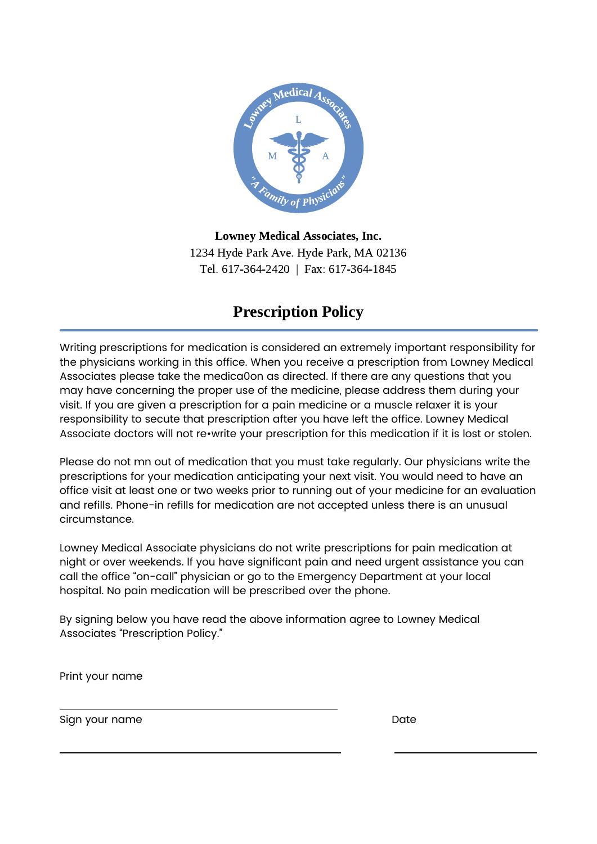

Lowney Medical Associates, Inc. 1234 Hyde Park Ave. Hyde Park, MA 02136 Tel. 617-364-2420 | Fax: 617-364-1845

## Prescription Policy

Writing prescriptions for medication is considered an extremely important responsibility for the physicians working in this office. When you receive a prescription from Lowney Medical Associates please take the medica0on as directed. If there are any questions that you may have concerning the proper use of the medicine, please address them during your visit. If you are given a prescription for a pain medicine or a muscle relaxer it is your responsibility to secute that prescription after you have left the office. Lowney Medical Associate doctors will not re•write your prescription for this medication if it is lost or stolen.

Please do not mn out of medication that you must take regularly. Our physicians write the prescriptions for your medication anticipating your next visit. You would need to have an office visit at least one or two weeks prior to running out of your medicine for an evaluation and refills. Phone-in refills for medication are not accepted unless there is an unusual circumstance.

Lowney Medical Associate physicians do not write prescriptions for pain medication at night or over weekends. lf you have significant pain and need urgent assistance you can call the office "on-call" physician or go to the Emergency Department at your local hospital. No pain medication will be prescribed over the phone.

By signing below you have read the above information agree to Lowney Medical Associates "Prescription Policy."

Print your name

Sign your name Date Date Date Date Date Date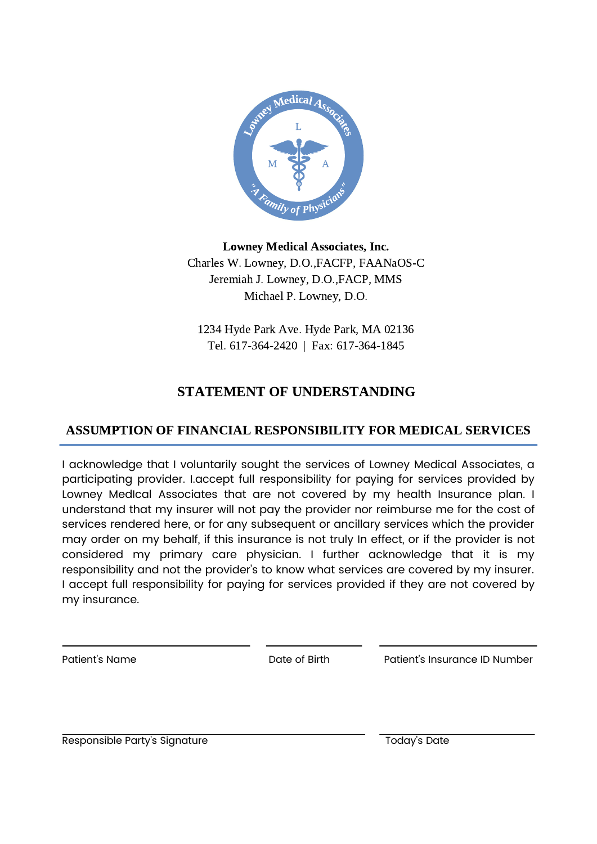

#### Lowney Medical Associates, Inc. Charles W. Lowney, D.O.,FACFP, FAANaOS-C Jeremiah J. Lowney, D.O.,FACP, MMS Michael P. Lowney, D.O.

1234 Hyde Park Ave. Hyde Park, MA 02136 Tel. 617-364-2420 | Fax: 617-364-1845

#### STATEMENT OF UNDERSTANDING

#### ASSUMPTION OF FINANCIAL RESPONSIBILITY FOR MEDICAL SERVICES

I acknowledge that I voluntarily sought the services of Lowney Medical Associates, a participating provider. I.accept full responsibility for paying for services provided by Lowney MedIcal Associates that are not covered by my health Insurance plan. I understand that my insurer will not pay the provider nor reimburse me for the cost of services rendered here, or for any subsequent or ancillary services which the provider may order on my behalf, if this insurance is not truly In effect, or if the provider is not considered my primary care physician. I further acknowledge that it is my responsibility and not the provider's to know what services are covered by my insurer. I accept full responsibility for paying for services provided if they are not covered by my insurance.

Patient's Name Date of Birth Patient's Insurance ID Number

Responsible Party's Signature Today's Date